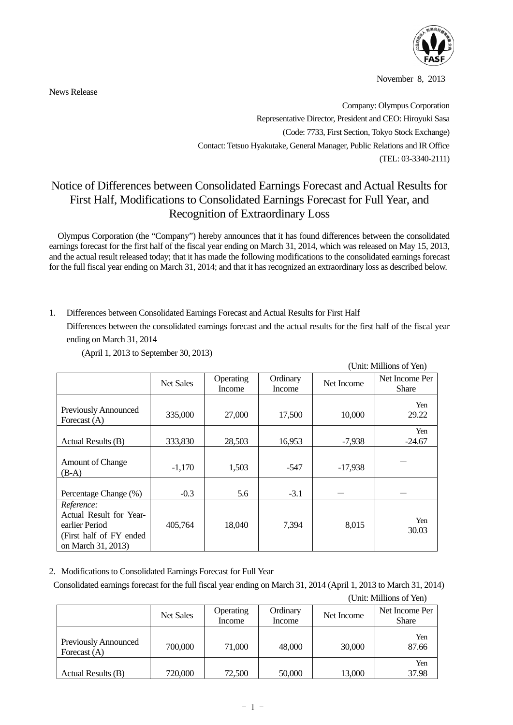

November 8, 2013

News Release

Company: Olympus Corporation Representative Director, President and CEO: Hiroyuki Sasa (Code: 7733, First Section, Tokyo Stock Exchange) Contact: Tetsuo Hyakutake, General Manager, Public Relations and IR Office (TEL: 03-3340-2111)

## Notice of Differences between Consolidated Earnings Forecast and Actual Results for First Half, Modifications to Consolidated Earnings Forecast for Full Year, and Recognition of Extraordinary Loss

Olympus Corporation (the "Company") hereby announces that it has found differences between the consolidated earnings forecast for the first half of the fiscal year ending on March 31, 2014, which was released on May 15, 2013, and the actual result released today; that it has made the following modifications to the consolidated earnings forecast for the full fiscal year ending on March 31, 2014; and that it has recognized an extraordinary loss as described below.

1. Differences between Consolidated Earnings Forecast and Actual Results for First Half

Differences between the consolidated earnings forecast and the actual results for the first half of the fiscal year ending on March 31, 2014

|                                                                                                           |                  |                     |                    | (Unit: Millions of Yen) |                                |  |
|-----------------------------------------------------------------------------------------------------------|------------------|---------------------|--------------------|-------------------------|--------------------------------|--|
|                                                                                                           | <b>Net Sales</b> | Operating<br>Income | Ordinary<br>Income | Net Income              | Net Income Per<br><b>Share</b> |  |
| Previously Announced<br>Forecast $(A)$                                                                    | 335,000          | 27,000              | 17,500             | 10,000                  | Yen<br>29.22                   |  |
| Actual Results (B)                                                                                        | 333,830          | 28,503              | 16,953             | $-7,938$                | Yen<br>$-24.67$                |  |
| <b>Amount of Change</b><br>$(B-A)$                                                                        | $-1,170$         | 1,503               | -547               | $-17,938$               |                                |  |
| Percentage Change (%)                                                                                     | $-0.3$           | 5.6                 | $-3.1$             |                         |                                |  |
| Reference:<br>Actual Result for Year-<br>earlier Period<br>(First half of FY ended)<br>on March 31, 2013) | 405,764          | 18,040              | 7,394              | 8,015                   | Yen<br>30.03                   |  |

(April 1, 2013 to September 30, 2013)

2. Modifications to Consolidated Earnings Forecast for Full Year

 Consolidated earnings forecast for the full fiscal year ending on March 31, 2014 (April 1, 2013 to March 31, 2014) (Unit: Millions of Yen)

|                                        | <b>Net Sales</b> | <b>Operating</b><br>Income | Ordinary<br>Income | Net Income | Net Income Per<br><b>Share</b> |
|----------------------------------------|------------------|----------------------------|--------------------|------------|--------------------------------|
| Previously Announced<br>Forecast $(A)$ | 700,000          | 71,000                     | 48,000             | 30,000     | Yen<br>87.66                   |
| Actual Results (B)                     | 720,000          | 72,500                     | 50,000             | 13,000     | Yen<br>37.98                   |